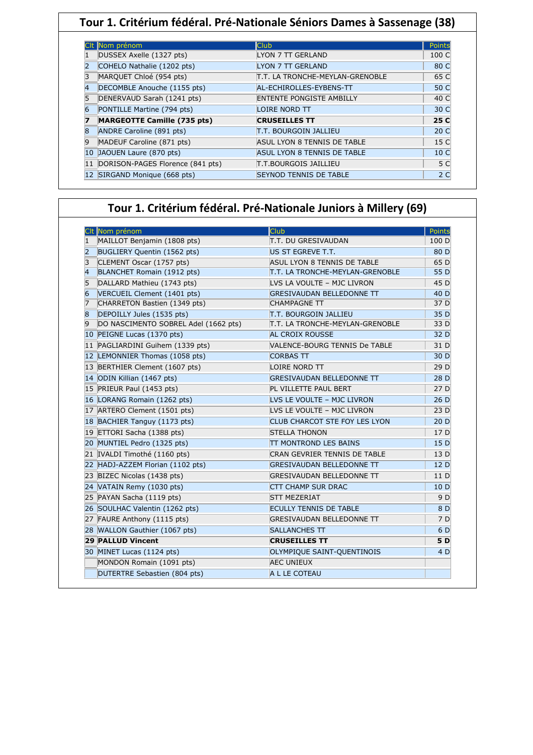| Tour 1. Critérium fédéral. Pré-Nationale Séniors Dames à Sassenage (38) |                                    |                                 |                |
|-------------------------------------------------------------------------|------------------------------------|---------------------------------|----------------|
|                                                                         |                                    |                                 |                |
|                                                                         | Nom prénom                         | <b>Club</b>                     | Points         |
|                                                                         | DUSSEX Axelle (1327 pts)           | LYON 7 TT GERLAND               | 100 C          |
|                                                                         | COHELO Nathalie (1202 pts)         | <b>LYON 7 TT GERLAND</b>        | 80 C           |
|                                                                         | MARQUET Chloé (954 pts)            | T.T. LA TRONCHE-MEYLAN-GRENOBLE | 65 C           |
|                                                                         | DECOMBLE Anouche (1155 pts)        | AL-ECHIROLLES-EYBENS-TT         | 50 C           |
|                                                                         | DENERVAUD Sarah (1241 pts)         | <b>ENTENTE PONGISTE AMBILLY</b> | 40 C           |
| 6                                                                       | PONTILLE Martine (794 pts)         | LOIRE NORD TT                   | 30 C           |
|                                                                         | <b>MARGEOTTE Camille (735 pts)</b> | <b>CRUSEILLES TT</b>            | 25 C           |
|                                                                         | ANDRE Caroline (891 pts)           | T.T. BOURGOIN JALLIEU           | 20 C           |
| 9                                                                       | MADEUF Caroline (871 pts)          | ASUL LYON 8 TENNIS DE TABLE     | 15 C           |
| 10                                                                      | JAOUEN Laure (870 pts)             | ASUL LYON 8 TENNIS DE TABLE     | 10 C           |
| 11                                                                      | DORISON-PAGES Florence (841 pts)   | T.T.BOURGOIS JAILLIEU           | 5 C            |
|                                                                         | 12 SIRGAND Monique (668 pts)       | SEYNOD TENNIS DE TABLE          | 2 <sub>C</sub> |

## **Tour 1. Critérium fédéral. Pré-Nationale Juniors à Millery (69)**

|                | Clt Nom prénom                       | <b>Club</b>                      | Points |
|----------------|--------------------------------------|----------------------------------|--------|
| 1              | MAILLOT Benjamin (1808 pts)          | <b>T.T. DU GRESIVAUDAN</b>       | 100 D  |
| $\overline{2}$ | BUGLIERY Quentin (1562 pts)          | US ST EGREVE T.T.                | 80 D   |
| 3              | CLEMENT Oscar (1757 pts)             | ASUL LYON 8 TENNIS DE TABLE      | 65 D   |
| $\overline{4}$ | BLANCHET Romain (1912 pts)           | T.T. LA TRONCHE-MEYLAN-GRENOBLE  | 55 D   |
| 5              | DALLARD Mathieu (1743 pts)           | LVS LA VOULTE - MJC LIVRON       | 45 D   |
| 6              | VERCUEIL Clement (1401 pts)          | <b>GRESIVAUDAN BELLEDONNE TT</b> | 40 D   |
| 7              | CHARRETON Bastien (1349 pts)         | <b>CHAMPAGNE TT</b>              | 37 D   |
| $\overline{8}$ | DEPOILLY Jules (1535 pts)            | <b>T.T. BOURGOIN JALLIEU</b>     | 35 D   |
| 9              | DO NASCIMENTO SOBREL Adel (1662 pts) | T.T. LA TRONCHE-MEYLAN-GRENOBLE  | 33 D   |
| 10             | PEIGNE Lucas (1370 pts)              | <b>AL CROIX ROUSSE</b>           | 32 D   |
|                | 11 PAGLIARDINI Guihem (1339 pts)     | VALENCE-BOURG TENNIS De TABLE    | 31 D   |
|                | 12 LEMONNIER Thomas (1058 pts)       | <b>CORBAS TT</b>                 | 30 D   |
|                | 13 BERTHIER Clement (1607 pts)       | LOIRE NORD TT                    | 29 D   |
|                | 14 ODIN Killian (1467 pts)           | <b>GRESIVAUDAN BELLEDONNE TT</b> | 28 D   |
|                | 15 PRIEUR Paul (1453 pts)            | PL VILLETTE PAUL BERT            | 27 D   |
|                | 16 LORANG Romain (1262 pts)          | LVS LE VOULTE - MJC LIVRON       | 26 D   |
|                | 17 ARTERO Clement (1501 pts)         | LVS LE VOULTE - MJC LIVRON       | 23 D   |
|                | 18 BACHIER Tanguy (1173 pts)         | CLUB CHARCOT STE FOY LES LYON    | 20 D   |
|                | 19 ETTORI Sacha (1388 pts)           | <b>STELLA THONON</b>             | 17 D   |
|                | 20 MUNTIEL Pedro (1325 pts)          | <b>TT MONTROND LES BAINS</b>     | 15 D   |
|                | 21 IVALDI Timothé (1160 pts)         | CRAN GEVRIER TENNIS DE TABLE     | 13 D   |
|                | 22 HADJ-AZZEM Florian (1102 pts)     | <b>GRESIVAUDAN BELLEDONNE TT</b> | 12 D   |
|                | 23 BIZEC Nicolas (1438 pts)          | <b>GRESIVAUDAN BELLEDONNE TT</b> | 11 D   |
|                | 24 VATAIN Remy (1030 pts)            | <b>CTT CHAMP SUR DRAC</b>        | 10 D   |
|                | 25 PAYAN Sacha (1119 pts)            | <b>STT MEZERIAT</b>              | 9 D    |
|                | 26 SOULHAC Valentin (1262 pts)       | <b>ECULLY TENNIS DE TABLE</b>    | 8 D    |
|                | 27 FAURE Anthony (1115 pts)          | <b>GRESIVAUDAN BELLEDONNE TT</b> | 7 D    |
| 28             | WALLON Gauthier (1067 pts)           | <b>SALLANCHES TT</b>             | 6 D    |
|                | <b>29 PALLUD Vincent</b>             | <b>CRUSEILLES TT</b>             | 5 D    |
|                | 30 MINET Lucas (1124 pts)            | OLYMPIQUE SAINT-QUENTINOIS       | 4 D    |
|                | MONDON Romain (1091 pts)             | <b>AEC UNIEUX</b>                |        |
|                | DUTERTRE Sebastien (804 pts)         | A L LE COTEAU                    |        |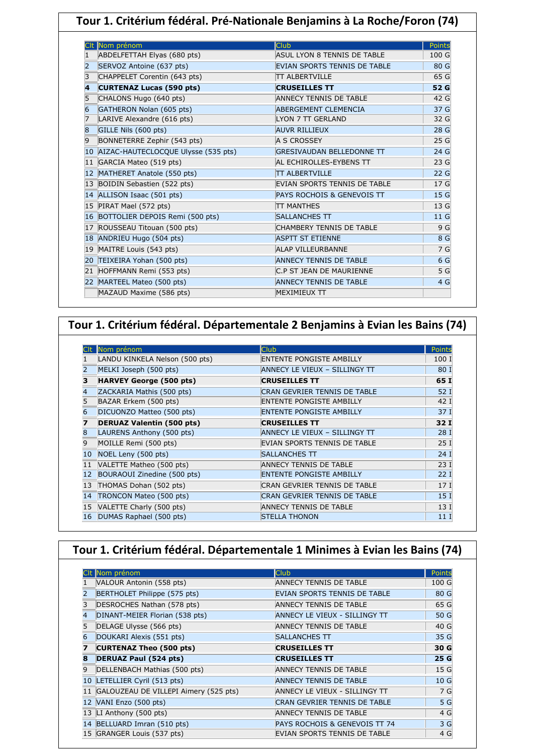| Tour 1. Critérium fédéral. Pré-Nationale Benjamins à La Roche/Foron (74) |                                  |                |
|--------------------------------------------------------------------------|----------------------------------|----------------|
| CIt Nom prénom                                                           | <b>Club</b>                      | <b>Points</b>  |
| ABDELFETTAH Elyas (680 pts)<br>1                                         | ASUL LYON 8 TENNIS DE TABLE      | 100 G          |
| $\overline{2}$<br>SERVOZ Antoine (637 pts)                               | EVIAN SPORTS TENNIS DE TABLE     | 80 G           |
| CHAPPELET Corentin (643 pts)<br>3                                        | <b>TT ALBERTVILLE</b>            | 65 G           |
| <b>CURTENAZ Lucas (590 pts)</b><br>4                                     | <b>CRUSEILLES TT</b>             | 52 G           |
| CHALONS Hugo (640 pts)<br>5                                              | <b>ANNECY TENNIS DE TABLE</b>    | 42 G           |
| GATHERON Nolan (605 pts)<br>6                                            | <b>ABERGEMENT CLEMENCIA</b>      | 37 G           |
| LARIVE Alexandre (616 pts)<br>7                                          | LYON 7 TT GERLAND                | 32 G           |
| GILLE Nils (600 pts)<br>8                                                | <b>AUVR RILLIEUX</b>             | 28 G           |
| BONNETERRE Zephir (543 pts)<br>9                                         | A S CROSSEY                      | 25 G           |
| 10 AIZAC-HAUTECLOCQUE Ulysse (535 pts)                                   | <b>GRESIVAUDAN BELLEDONNE TT</b> | 24 G           |
| 11 GARCIA Mateo (519 pts)                                                | AL ECHIROLLES-EYBENS TT          | 23G            |
| 12 MATHERET Anatole (550 pts)                                            | <b>TT ALBERTVILLE</b>            | 22G            |
| 13 BOIDIN Sebastien (522 pts)                                            | EVIAN SPORTS TENNIS DE TABLE     | 17 G           |
| 14 ALLISON Isaac (501 pts)                                               | PAYS ROCHOIS & GENEVOIS TT       | 15 G           |
| 15 PIRAT Mael (572 pts)                                                  | <b>ITT MANTHES</b>               | 13G            |
| 16 BOTTOLIER DEPOIS Remi (500 pts)                                       | <b>SALLANCHES TT</b>             | 11 G           |
| 17 ROUSSEAU Titouan (500 pts)                                            | CHAMBERY TENNIS DE TABLE         | 9 G            |
| 18 ANDRIEU Hugo (504 pts)                                                | <b>ASPTT ST ETIENNE</b>          | 8 G            |
| 19 MAITRE Louis (543 pts)                                                | <b>ALAP VILLEURBANNE</b>         | 7 G            |
| 20 TEIXEIRA Yohan (500 pts)                                              | <b>ANNECY TENNIS DE TABLE</b>    | 6 G            |
| 21 HOFFMANN Remi (553 pts)                                               | C.P ST JEAN DE MAURIENNE         | 5 <sub>G</sub> |
| 22 MARTEEL Mateo (500 pts)                                               | <b>ANNECY TENNIS DE TABLE</b>    | 4 G            |
| MAZAUD Maxime (586 pts)                                                  | <b>MEXIMIEUX TT</b>              |                |

## **Tour 1. Critérium fédéral. Départementale 2 Benjamins à Evian les Bains (74)**

|    | Nom prénom                       | <b>Club</b>                         | Points          |
|----|----------------------------------|-------------------------------------|-----------------|
|    | LANDU KINKELA Nelson (500 pts)   | <b>ENTENTE PONGISTE AMBILLY</b>     | 100 I           |
| 2  | MELKI Joseph (500 pts)           | ANNECY LE VIEUX - SILLINGY TT       | 80 I            |
| 3  | <b>HARVEY George (500 pts)</b>   | <b>CRUSEILLES TT</b>                | 65 I            |
| 4  | ZACKARIA Mathis (500 pts)        | <b>CRAN GEVRIER TENNIS DE TABLE</b> | 52 I            |
| 5  | BAZAR Erkem (500 pts)            | <b>ENTENTE PONGISTE AMBILLY</b>     | 42 I            |
| 6  | DICUONZO Matteo (500 pts)        | <b>ENTENTE PONGISTE AMBILLY</b>     | 37I             |
| 7  | <b>DERUAZ Valentin (500 pts)</b> | <b>CRUSEILLES TT</b>                | 32I             |
| 8  | LAURENS Anthony (500 pts)        | ANNECY LE VIEUX - SILLINGY TT       | 28I             |
| 9  | MOILLE Remi (500 pts)            | EVIAN SPORTS TENNIS DE TABLE        | 25I             |
| 10 | NOEL Leny (500 pts)              | <b>SALLANCHES TT</b>                | 24I             |
| 11 | VALETTE Matheo (500 pts)         | <b>ANNECY TENNIS DE TABLE</b>       | 23I             |
| 12 | BOURAOUI Zinedine (500 pts)      | ENTENTE PONGISTE AMBILLY            | 22I             |
| 13 | THOMAS Dohan (502 pts)           | CRAN GEVRIER TENNIS DE TABLE        | 17 <sub>I</sub> |
| 14 | TRONCON Mateo (500 pts)          | <b>CRAN GEVRIER TENNIS DE TABLE</b> | 15 <sub>1</sub> |
| 15 | VALETTE Charly (500 pts)         | ANNECY TENNIS DE TABLE              | 13I             |
| 16 | DUMAS Raphael (500 pts)          | <b>STELLA THONON</b>                | 11 I            |

| Tour 1. Critérium fédéral. Départementale 1 Minimes à Evian les Bains (74) |                               |                 |  |
|----------------------------------------------------------------------------|-------------------------------|-----------------|--|
|                                                                            |                               |                 |  |
| CIt Nom prénom                                                             | <b>Club</b>                   | Points          |  |
| VALOUR Antonin (558 pts)                                                   | ANNECY TENNIS DE TABLE        | 100 G           |  |
| BERTHOLET Philippe (575 pts)                                               | EVIAN SPORTS TENNIS DE TABLE  | 80 G            |  |
| DESROCHES Nathan (578 pts)<br>3                                            | ANNECY TENNIS DE TABLE        | 65 G            |  |
| DINANT-MEIER Florian (538 pts)<br>4                                        | ANNECY LE VIEUX - SILLINGY TT | 50 G            |  |
| DELAGE Ulysse (566 pts)<br>5                                               | ANNECY TENNIS DE TABLE        | 40 G            |  |
| DOUKARI Alexis (551 pts)                                                   | <b>SALLANCHES TT</b>          | 35 G            |  |
| <b>CURTENAZ Theo (500 pts)</b>                                             | <b>CRUSEILLES TT</b>          | 30 G            |  |
| <b>DERUAZ Paul (524 pts)</b>                                               | <b>CRUSEILLES TT</b>          | 25 G            |  |
| DELLENBACH Mathias (500 pts)<br>9                                          | ANNECY TENNIS DE TABLE        | 15 G            |  |
| LETELLIER Cyril (513 pts)<br>10                                            | <b>ANNECY TENNIS DE TABLE</b> | 10 <sub>G</sub> |  |
| GALOUZEAU DE VILLEPI Aimery (525 pts)                                      | ANNECY LE VIEUX - SILLINGY TT | 7 G             |  |
| VANI Enzo (500 pts)<br>12                                                  | CRAN GEVRIER TENNIS DE TABLE  | 5 G             |  |
| LI Anthony $(500 \text{ pts})$<br>13                                       | ANNECY TENNIS DE TABLE        | 4 G             |  |
| BELLUARD Imran (510 pts)<br>14                                             | PAYS ROCHOIS & GENEVOIS TT 74 | 3 <sub>G</sub>  |  |
| 15 GRANGER Louis (537 pts)                                                 | EVIAN SPORTS TENNIS DE TABLE  | 4 G             |  |